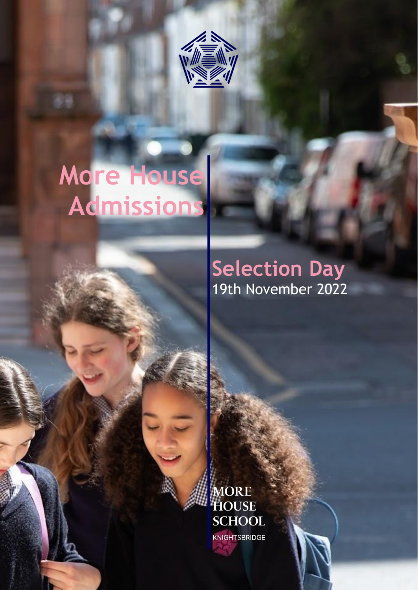

# **More House Admissions**

## **Selection Day** 19th November 2022

**MORE HOUSE SCHOOL** KNIGHTSBRIDGE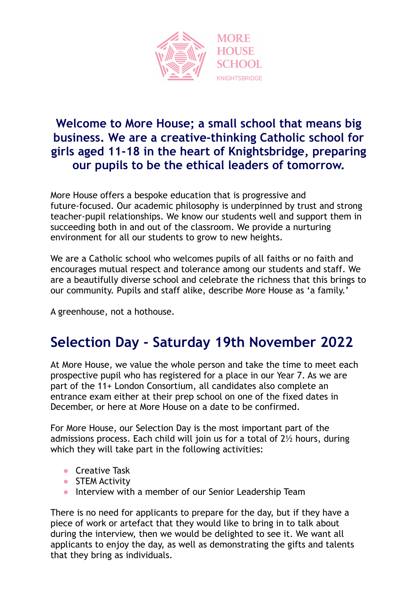

#### **Welcome to More House; a small school that means big business. We are a creative-thinking Catholic school for girls aged 11-18 in the heart of Knightsbridge, preparing our pupils to be the ethical leaders of tomorrow.**

More House offers a bespoke education that is progressive and future-focused. Our academic philosophy is underpinned by trust and strong teacher-pupil relationships. We know our students well and support them in succeeding both in and out of the classroom. We provide a nurturing environment for all our students to grow to new heights.

We are a Catholic school who welcomes pupils of all faiths or no faith and encourages mutual respect and tolerance among our students and staff. We are a beautifully diverse school and celebrate the richness that this brings to our community. Pupils and staff alike, describe More House as 'a family.'

A greenhouse, not a hothouse.

#### **Selection Day - Saturday 19th November 2022**

At More House, we value the whole person and take the time to meet each prospective pupil who has registered for a place in our Year 7. As we are part of the 11+ London Consortium, all candidates also complete an entrance exam either at their prep school on one of the fixed dates in December, or here at More House on a date to be confirmed.

For More House, our Selection Day is the most important part of the admissions process. Each child will join us for a total of 2½ hours, during which they will take part in the following activities:

- Creative Task
- STEM Activity
- Interview with a member of our Senior Leadership Team

There is no need for applicants to prepare for the day, but if they have a piece of work or artefact that they would like to bring in to talk about during the interview, then we would be delighted to see it. We want all applicants to enjoy the day, as well as demonstrating the gifts and talents that they bring as individuals.